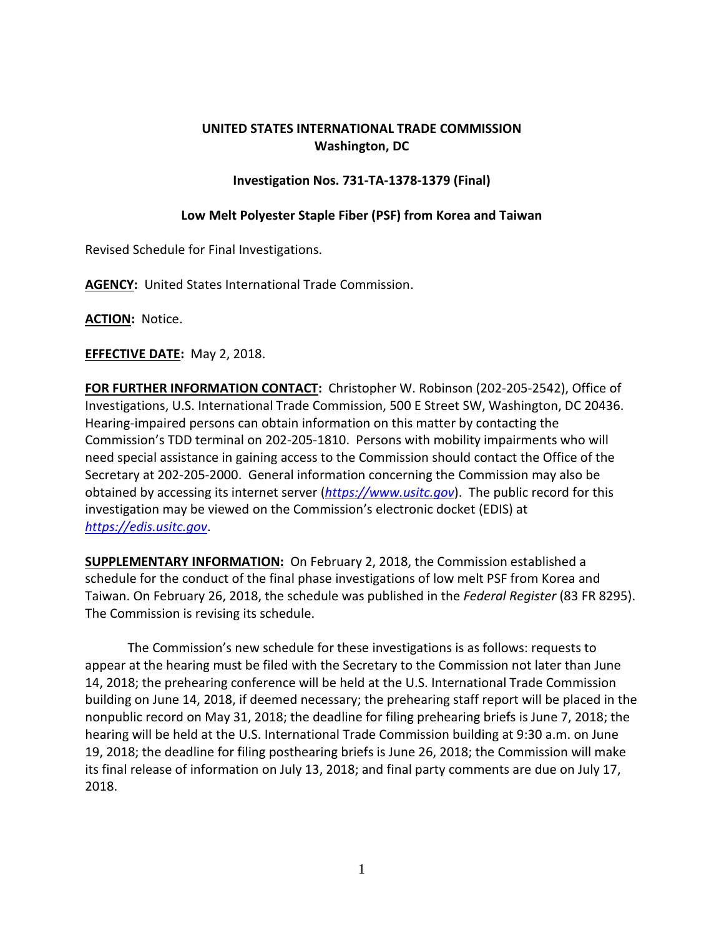## **UNITED STATES INTERNATIONAL TRADE COMMISSION Washington, DC**

## **Investigation Nos. 731-TA-1378-1379 (Final)**

## **Low Melt Polyester Staple Fiber (PSF) from Korea and Taiwan**

Revised Schedule for Final Investigations.

**AGENCY:** United States International Trade Commission.

**ACTION:** Notice.

**EFFECTIVE DATE:** May 2, 2018.

**FOR FURTHER INFORMATION CONTACT:** Christopher W. Robinson (202-205-2542), Office of Investigations, U.S. International Trade Commission, 500 E Street SW, Washington, DC 20436. Hearing-impaired persons can obtain information on this matter by contacting the Commission's TDD terminal on 202-205-1810. Persons with mobility impairments who will need special assistance in gaining access to the Commission should contact the Office of the Secretary at 202-205-2000. General information concerning the Commission may also be obtained by accessing its internet server (*[https://www.usitc.gov](https://www.usitc.gov/)*). The public record for this investigation may be viewed on the Commission's electronic docket (EDIS) at *[https://edis.usitc.gov](https://edis.usitc.gov/)*.

**SUPPLEMENTARY INFORMATION:** On February 2, 2018, the Commission established a schedule for the conduct of the final phase investigations of low melt PSF from Korea and Taiwan. On February 26, 2018, the schedule was published in the *Federal Register* (83 FR 8295). The Commission is revising its schedule.

The Commission's new schedule for these investigations is as follows: requests to appear at the hearing must be filed with the Secretary to the Commission not later than June 14, 2018; the prehearing conference will be held at the U.S. International Trade Commission building on June 14, 2018, if deemed necessary; the prehearing staff report will be placed in the nonpublic record on May 31, 2018; the deadline for filing prehearing briefs is June 7, 2018; the hearing will be held at the U.S. International Trade Commission building at 9:30 a.m. on June 19, 2018; the deadline for filing posthearing briefs is June 26, 2018; the Commission will make its final release of information on July 13, 2018; and final party comments are due on July 17, 2018.